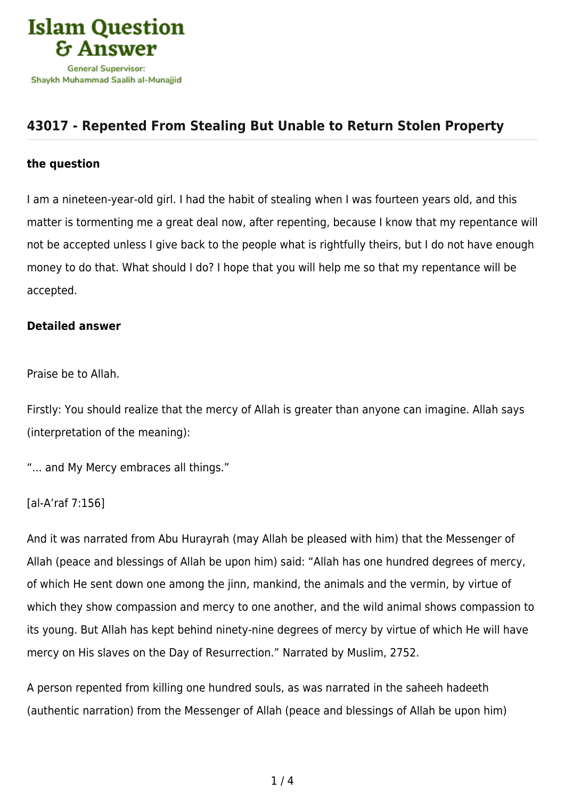

# **[43017 - Repented From Stealing But Unable to Return Stolen Property](https://islamqa.com/en/answers/43017/repented-from-stealing-but-unable-to-return-stolen-property)**

### **the question**

I am a nineteen-year-old girl. I had the habit of stealing when I was fourteen years old, and this matter is tormenting me a great deal now, after repenting, because I know that my repentance will not be accepted unless I give back to the people what is rightfully theirs, but I do not have enough money to do that. What should I do? I hope that you will help me so that my repentance will be accepted.

#### **Detailed answer**

Praise be to Allah.

Firstly: You should realize that the mercy of Allah is greater than anyone can imagine. Allah says (interpretation of the meaning):

"... and My Mercy embraces all things."

## [al-A'raf 7:156]

And it was narrated from Abu Hurayrah (may Allah be pleased with him) that the Messenger of Allah (peace and blessings of Allah be upon him) said: "Allah has one hundred degrees of mercy, of which He sent down one among the jinn, mankind, the animals and the vermin, by virtue of which they show compassion and mercy to one another, and the wild animal shows compassion to its young. But Allah has kept behind ninety-nine degrees of mercy by virtue of which He will have mercy on His slaves on the Day of Resurrection." Narrated by Muslim, 2752.

A person repented from killing one hundred souls, as was narrated in the saheeh hadeeth (authentic narration) from the Messenger of Allah (peace and blessings of Allah be upon him)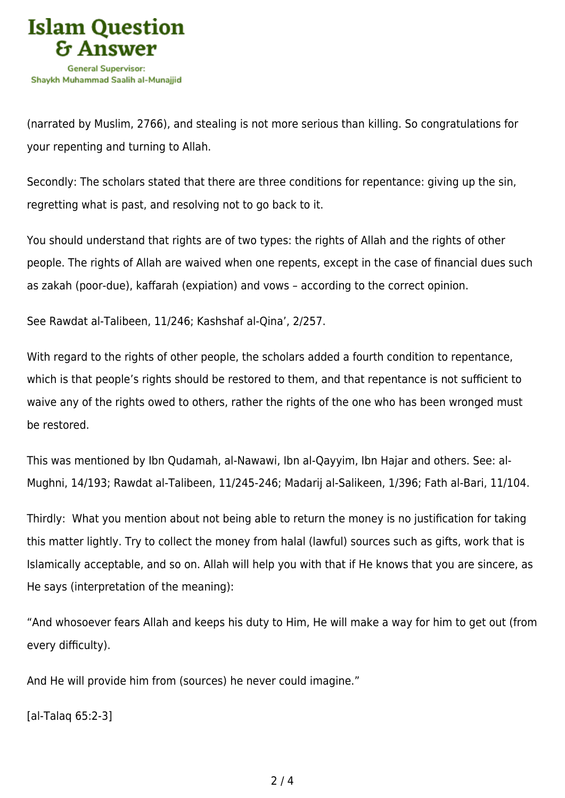

(narrated by Muslim, 2766), and stealing is not more serious than killing. So congratulations for your repenting and turning to Allah.

Secondly: The scholars stated that there are three conditions for repentance: giving up the sin, regretting what is past, and resolving not to go back to it.

You should understand that rights are of two types: the rights of Allah and the rights of other people. The rights of Allah are waived when one repents, except in the case of financial dues such as zakah (poor-due), kaffarah (expiation) and vows – according to the correct opinion.

See Rawdat al-Talibeen, 11/246; Kashshaf al-Qina', 2/257.

With regard to the rights of other people, the scholars added a fourth condition to repentance, which is that people's rights should be restored to them, and that repentance is not sufficient to waive any of the rights owed to others, rather the rights of the one who has been wronged must be restored.

This was mentioned by Ibn Qudamah, al-Nawawi, Ibn al-Qayyim, Ibn Hajar and others. See: al-Mughni, 14/193; Rawdat al-Talibeen, 11/245-246; Madarij al-Salikeen, 1/396; Fath al-Bari, 11/104.

Thirdly: What you mention about not being able to return the money is no justification for taking this matter lightly. Try to collect the money from halal (lawful) sources such as gifts, work that is Islamically acceptable, and so on. Allah will help you with that if He knows that you are sincere, as He says (interpretation of the meaning):

"And whosoever fears Allah and keeps his duty to Him, He will make a way for him to get out (from every difficulty).

And He will provide him from (sources) he never could imagine."

[al-Talaq 65:2-3]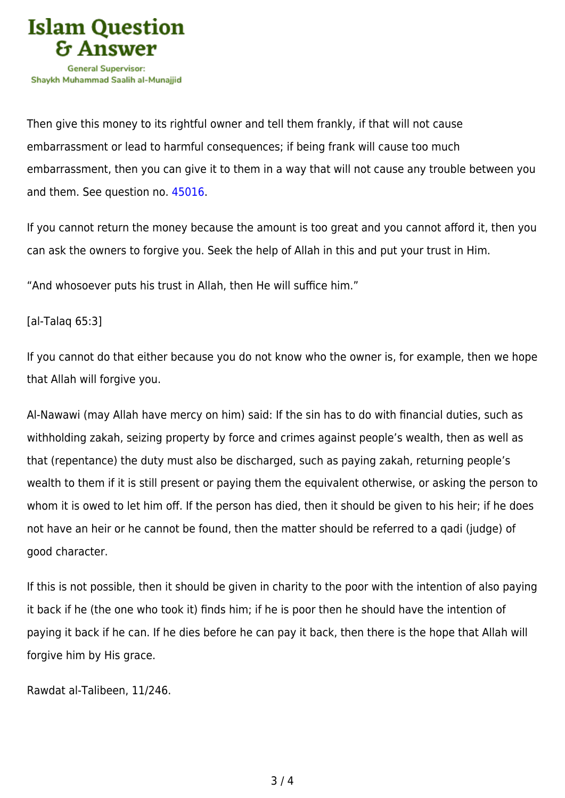

Then give this money to its rightful owner and tell them frankly, if that will not cause embarrassment or lead to harmful consequences; if being frank will cause too much embarrassment, then you can give it to them in a way that will not cause any trouble between you and them. See question no. [45016](https://islamqa.com/en/answers/45016).

If you cannot return the money because the amount is too great and you cannot afford it, then you can ask the owners to forgive you. Seek the help of Allah in this and put your trust in Him.

"And whosoever puts his trust in Allah, then He will suffice him."

## [al-Talaq 65:3]

If you cannot do that either because you do not know who the owner is, for example, then we hope that Allah will forgive you.

Al-Nawawi (may Allah have mercy on him) said: If the sin has to do with financial duties, such as withholding zakah, seizing property by force and crimes against people's wealth, then as well as that (repentance) the duty must also be discharged, such as paying zakah, returning people's wealth to them if it is still present or paying them the equivalent otherwise, or asking the person to whom it is owed to let him off. If the person has died, then it should be given to his heir; if he does not have an heir or he cannot be found, then the matter should be referred to a qadi (judge) of good character.

If this is not possible, then it should be given in charity to the poor with the intention of also paying it back if he (the one who took it) finds him; if he is poor then he should have the intention of paying it back if he can. If he dies before he can pay it back, then there is the hope that Allah will forgive him by His grace.

Rawdat al-Talibeen, 11/246.